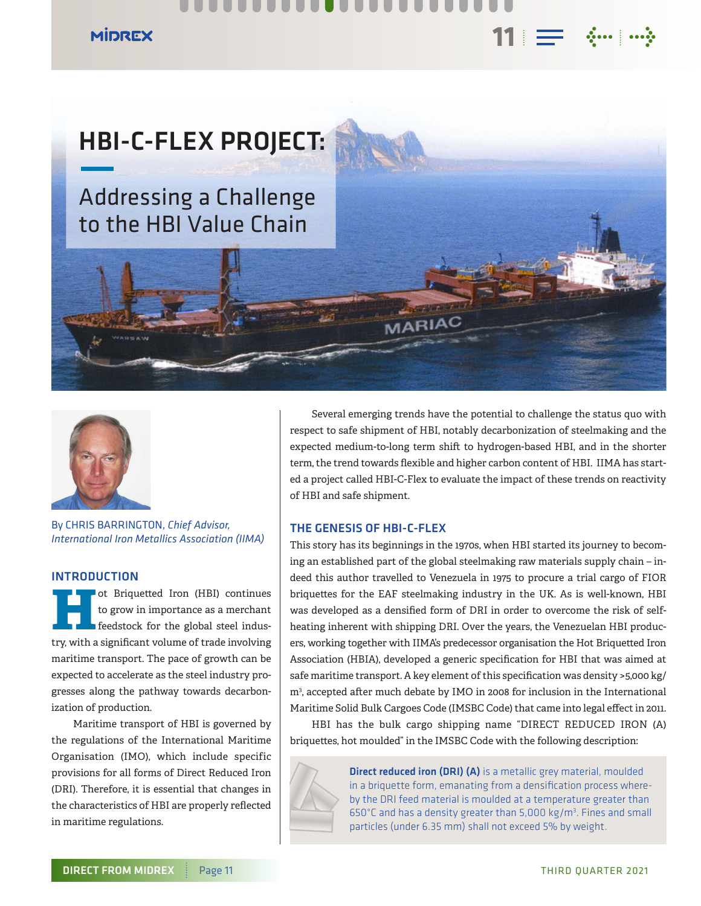## . . . .

## **MIDREX**





By CHRIS BARRINGTON, *Chief Advisor, International Iron Metallics Association (IIMA)*

#### **INTRODUCTION**

**Hot Briquetted Iron (HBI) continues**<br>to grow in importance as a merchant<br>feedstock for the global steel industo grow in importance as a merchant feedstock for the global steel industry, with a significant volume of trade involving maritime transport. The pace of growth can be expected to accelerate as the steel industry progresses along the pathway towards decarbonization of production.

Maritime transport of HBI is governed by the regulations of the International Maritime Organisation (IMO), which include specific provisions for all forms of Direct Reduced Iron (DRI). Therefore, it is essential that changes in the characteristics of HBI are properly reflected in maritime regulations.

Several emerging trends have the potential to challenge the status quo with respect to safe shipment of HBI, notably decarbonization of steelmaking and the expected medium-to-long term shift to hydrogen-based HBI, and in the shorter term, the trend towards flexible and higher carbon content of HBI. IIMA has started a project called HBI-C-Flex to evaluate the impact of these trends on reactivity of HBI and safe shipment.

 $11 \equiv$   $\cdots$   $\cdots$ 

### THE GENESIS OF HBI-C-FLEX

This story has its beginnings in the 1970s, when HBI started its journey to becoming an established part of the global steelmaking raw materials supply chain – indeed this author travelled to Venezuela in 1975 to procure a trial cargo of FIOR briquettes for the EAF steelmaking industry in the UK. As is well-known, HBI was developed as a densified form of DRI in order to overcome the risk of selfheating inherent with shipping DRI. Over the years, the Venezuelan HBI producers, working together with IIMA's predecessor organisation the Hot Briquetted Iron Association (HBIA), developed a generic specification for HBI that was aimed at safe maritime transport. A key element of this specification was density >5,000 kg/ m3 , accepted after much debate by IMO in 2008 for inclusion in the International Maritime Solid Bulk Cargoes Code (IMSBC Code) that came into legal effect in 2011.

HBI has the bulk cargo shipping name "DIRECT REDUCED IRON (A) briquettes, hot moulded" in the IMSBC Code with the following description:



**Direct reduced iron (DRI) (A)** is a metallic grey material, moulded in a briquette form, emanating from a densification process whereby the DRI feed material is moulded at a temperature greater than  $650^{\circ}$ C and has a density greater than 5,000 kg/m<sup>3</sup>. Fines and small particles (under 6.35 mm) shall not exceed 5% by weight.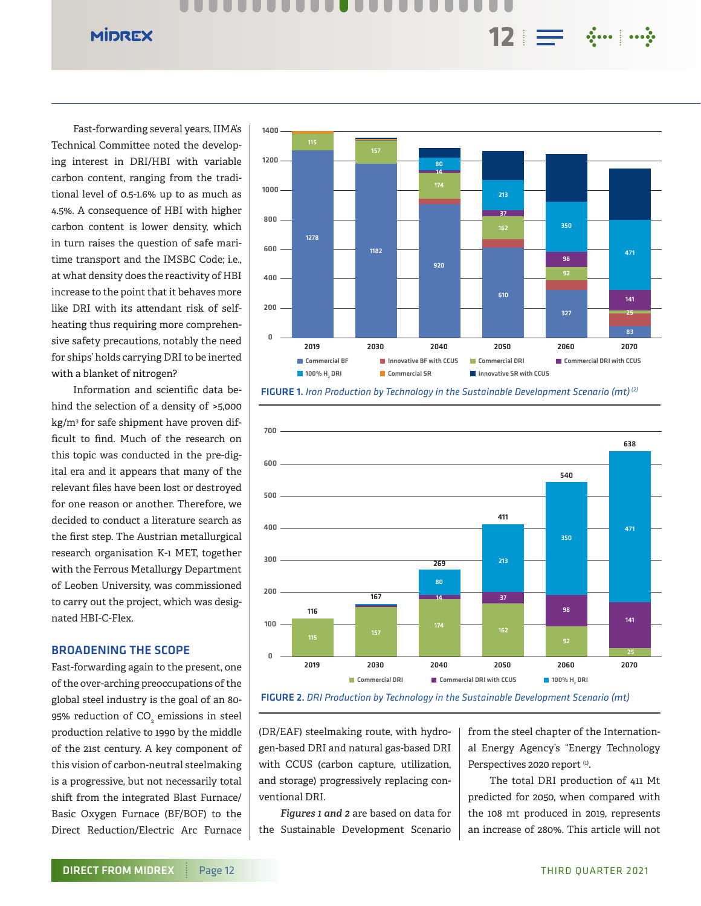...  $12 \equiv$   $\cdots$   $\cdots$ 

Fast-forwarding several years, IIMA's Technical Committee noted the developing interest in DRI/HBI with variable carbon content, ranging from the traditional level of 0.5-1.6% up to as much as 4.5%. A consequence of HBI with higher carbon content is lower density, which in turn raises the question of safe maritime transport and the IMSBC Code; i.e., at what density does the reactivity of HBI increase to the point that it behaves more like DRI with its attendant risk of selfheating thus requiring more comprehensive safety precautions, notably the need for ships' holds carrying DRI to be inerted with a blanket of nitrogen?

**MIDREX** 

Information and scientific data behind the selection of a density of >5,000 kg/m3 for safe shipment have proven difficult to find. Much of the research on this topic was conducted in the pre-digital era and it appears that many of the relevant files have been lost or destroyed for one reason or another. Therefore, we decided to conduct a literature search as the first step. The Austrian metallurgical research organisation K-1 MET, together with the Ferrous Metallurgy Department of Leoben University, was commissioned to carry out the project, which was designated HBI-C-Flex.

#### BROADENING THE SCOPE

Fast-forwarding again to the present, one of the over-arching preoccupations of the global steel industry is the goal of an 80- 95% reduction of CO $_{\tiny 2}$  emissions in steel production relative to 1990 by the middle of the 21st century. A key component of this vision of carbon-neutral steelmaking is a progressive, but not necessarily total shift from the integrated Blast Furnace/ Basic Oxygen Furnace (BF/BOF) to the Direct Reduction/Electric Arc Furnace









(DR/EAF) steelmaking route, with hydrogen-based DRI and natural gas-based DRI with CCUS (carbon capture, utilization, and storage) progressively replacing conventional DRI.

*Figures 1 and 2* are based on data for the Sustainable Development Scenario from the steel chapter of the International Energy Agency's "Energy Technology Perspectives 2020 report<sup>(1)</sup>.

The total DRI production of 411 Mt predicted for 2050, when compared with the 108 mt produced in 2019, represents an increase of 280%. This article will not